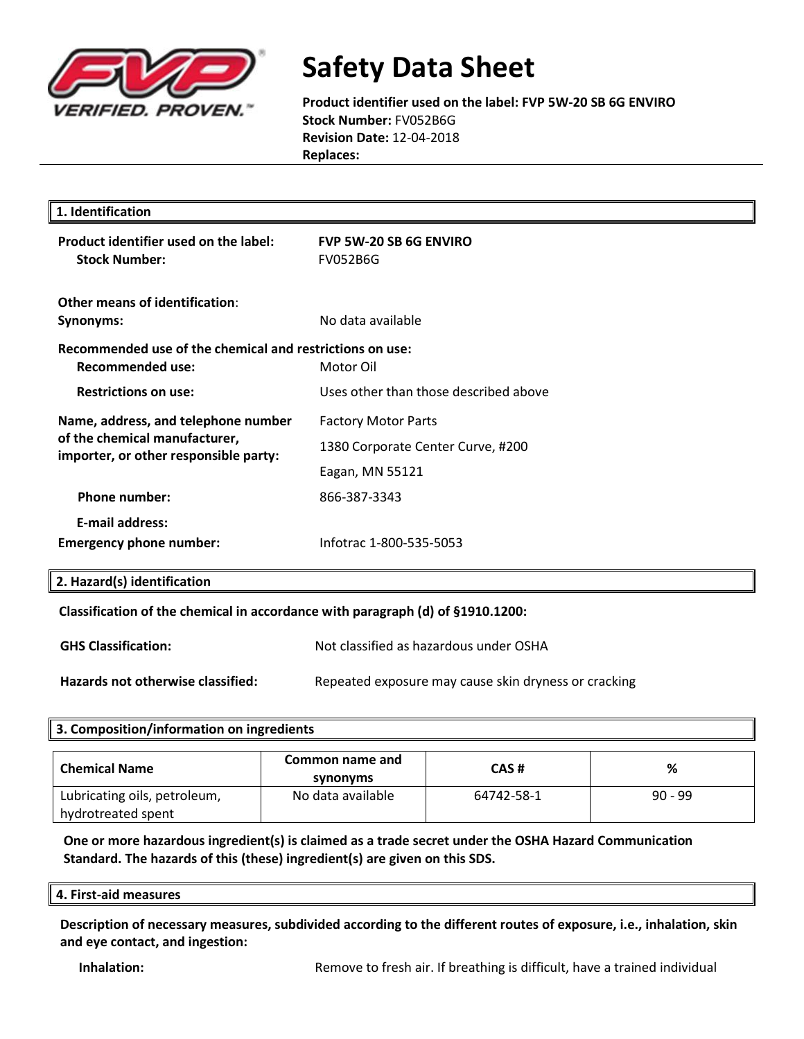

**Product identifier used on the label: FVP 5W-20 SB 6G ENVIRO Stock Number:** FV052B6G **Revision Date:** 12-04-2018 **Replaces:** 

| 1. Identification                                                                                             |                                                  |
|---------------------------------------------------------------------------------------------------------------|--------------------------------------------------|
| Product identifier used on the label:<br><b>Stock Number:</b>                                                 | <b>FVP 5W-20 SB 6G ENVIRO</b><br><b>FV052B6G</b> |
| Other means of identification:<br>Synonyms:                                                                   | No data available                                |
| Recommended use of the chemical and restrictions on use:<br>Recommended use:                                  | Motor Oil                                        |
| <b>Restrictions on use:</b>                                                                                   | Uses other than those described above            |
| Name, address, and telephone number<br>of the chemical manufacturer,<br>importer, or other responsible party: | <b>Factory Motor Parts</b>                       |
|                                                                                                               | 1380 Corporate Center Curve, #200                |
|                                                                                                               | Eagan, MN 55121                                  |
| <b>Phone number:</b>                                                                                          | 866-387-3343                                     |
| <b>E-mail address:</b>                                                                                        |                                                  |
| <b>Emergency phone number:</b>                                                                                | Infotrac 1-800-535-5053                          |
| 2. Hazard(s) identification                                                                                   |                                                  |
|                                                                                                               |                                                  |

### **Classification of the chemical in accordance with paragraph (d) of §1910.1200:**

| <b>GHS Classification:</b>        | Not classified as hazardous under OSHA               |
|-----------------------------------|------------------------------------------------------|
| Hazards not otherwise classified: | Repeated exposure may cause skin dryness or cracking |

### **3. Composition/information on ingredients**

| <b>Chemical Name</b>                               | Common name and<br>synonyms | CAS#       | %         |
|----------------------------------------------------|-----------------------------|------------|-----------|
| Lubricating oils, petroleum,<br>hydrotreated spent | No data available           | 64742-58-1 | $90 - 99$ |

### **One or more hazardous ingredient(s) is claimed as a trade secret under the OSHA Hazard Communication Standard. The hazards of this (these) ingredient(s) are given on this SDS.**

#### **4. First-aid measures**

**Description of necessary measures, subdivided according to the different routes of exposure, i.e., inhalation, skin and eye contact, and ingestion:**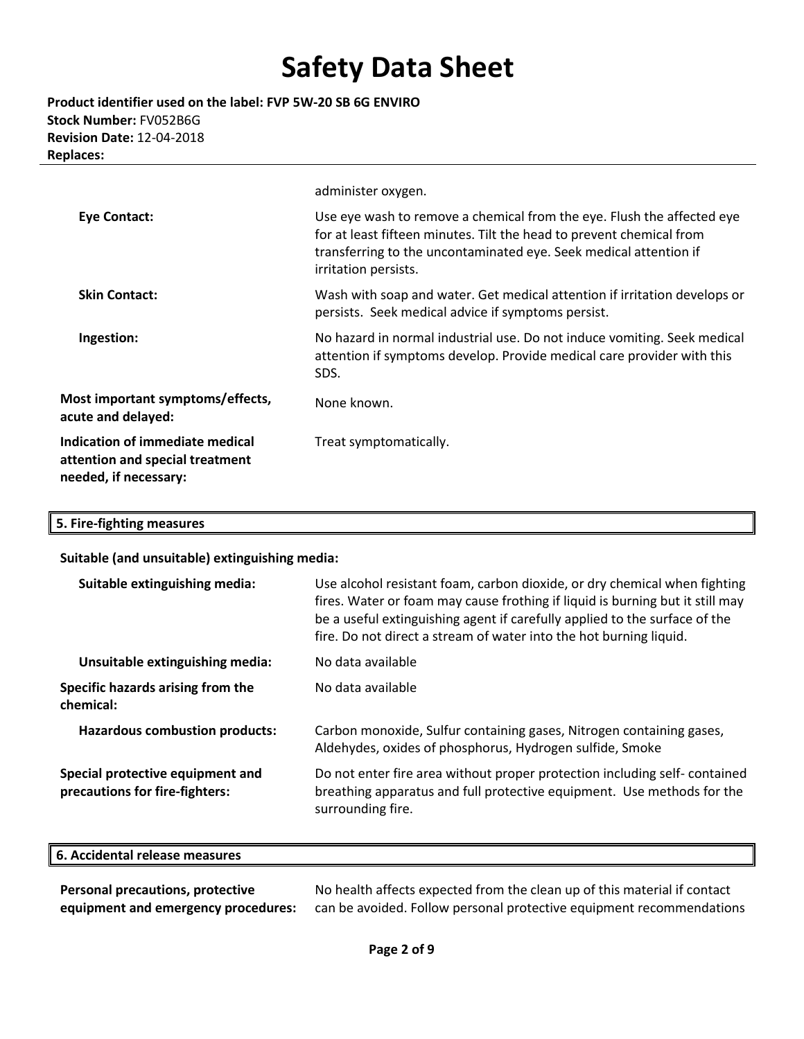**Product identifier used on the label: FVP 5W-20 SB 6G ENVIRO Stock Number:** FV052B6G **Revision Date:** 12-04-2018 **Replaces:** 

|                                                                                             | administer oxygen.                                                                                                                                                                                                                          |
|---------------------------------------------------------------------------------------------|---------------------------------------------------------------------------------------------------------------------------------------------------------------------------------------------------------------------------------------------|
| Eye Contact:                                                                                | Use eye wash to remove a chemical from the eye. Flush the affected eye<br>for at least fifteen minutes. Tilt the head to prevent chemical from<br>transferring to the uncontaminated eye. Seek medical attention if<br>irritation persists. |
| <b>Skin Contact:</b>                                                                        | Wash with soap and water. Get medical attention if irritation develops or<br>persists. Seek medical advice if symptoms persist.                                                                                                             |
| Ingestion:                                                                                  | No hazard in normal industrial use. Do not induce vomiting. Seek medical<br>attention if symptoms develop. Provide medical care provider with this<br>SDS.                                                                                  |
| Most important symptoms/effects,<br>acute and delayed:                                      | None known.                                                                                                                                                                                                                                 |
| Indication of immediate medical<br>attention and special treatment<br>needed, if necessary: | Treat symptomatically.                                                                                                                                                                                                                      |

## **5. Fire-fighting measures**

#### **Suitable (and unsuitable) extinguishing media:**

| Suitable extinguishing media:                                      | Use alcohol resistant foam, carbon dioxide, or dry chemical when fighting<br>fires. Water or foam may cause frothing if liquid is burning but it still may<br>be a useful extinguishing agent if carefully applied to the surface of the<br>fire. Do not direct a stream of water into the hot burning liquid. |
|--------------------------------------------------------------------|----------------------------------------------------------------------------------------------------------------------------------------------------------------------------------------------------------------------------------------------------------------------------------------------------------------|
| Unsuitable extinguishing media:                                    | No data available                                                                                                                                                                                                                                                                                              |
| Specific hazards arising from the<br>chemical:                     | No data available                                                                                                                                                                                                                                                                                              |
| <b>Hazardous combustion products:</b>                              | Carbon monoxide, Sulfur containing gases, Nitrogen containing gases,<br>Aldehydes, oxides of phosphorus, Hydrogen sulfide, Smoke                                                                                                                                                                               |
| Special protective equipment and<br>precautions for fire-fighters: | Do not enter fire area without proper protection including self-contained<br>breathing apparatus and full protective equipment. Use methods for the<br>surrounding fire.                                                                                                                                       |

| ll 6. Accider<br>\ccidental release measures |  |  |
|----------------------------------------------|--|--|
|                                              |  |  |

**Personal precautions, protective equipment and emergency procedures:**  No health affects expected from the clean up of this material if contact can be avoided. Follow personal protective equipment recommendations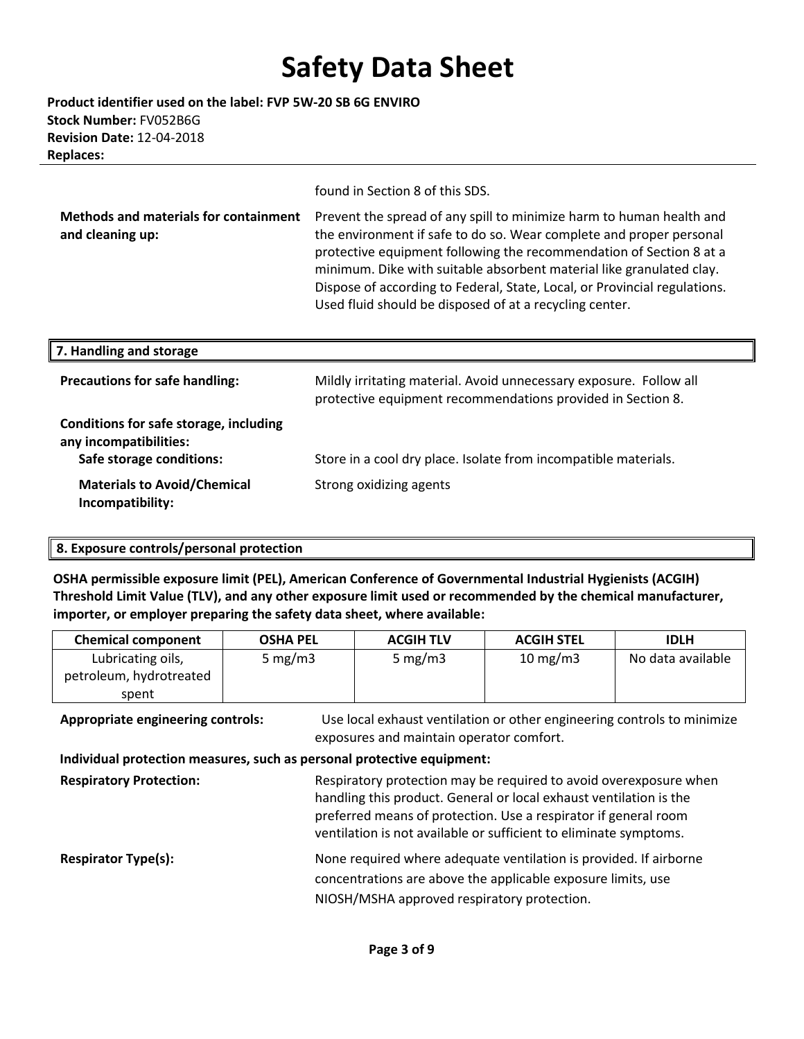**Product identifier used on the label: FVP 5W-20 SB 6G ENVIRO Stock Number:** FV052B6G **Revision Date:** 12-04-2018 **Replaces:** 

found in Section 8 of this SDS.

| <b>Methods and materials for containment</b> | Prevent the spread of any spill to minimize harm to human health and      |
|----------------------------------------------|---------------------------------------------------------------------------|
| and cleaning up:                             | the environment if safe to do so. Wear complete and proper personal       |
|                                              | protective equipment following the recommendation of Section 8 at a       |
|                                              | minimum. Dike with suitable absorbent material like granulated clay.      |
|                                              | Dispose of according to Federal, State, Local, or Provincial regulations. |
|                                              | Used fluid should be disposed of at a recycling center.                   |

| 7. Handling and storage                                                                      |                                                                                                                                   |
|----------------------------------------------------------------------------------------------|-----------------------------------------------------------------------------------------------------------------------------------|
| <b>Precautions for safe handling:</b>                                                        | Mildly irritating material. Avoid unnecessary exposure. Follow all<br>protective equipment recommendations provided in Section 8. |
| Conditions for safe storage, including<br>any incompatibilities:<br>Safe storage conditions: | Store in a cool dry place. Isolate from incompatible materials.                                                                   |
| <b>Materials to Avoid/Chemical</b><br>Incompatibility:                                       | Strong oxidizing agents                                                                                                           |

### **8. Exposure controls/personal protection**

**OSHA permissible exposure limit (PEL), American Conference of Governmental Industrial Hygienists (ACGIH) Threshold Limit Value (TLV), and any other exposure limit used or recommended by the chemical manufacturer, importer, or employer preparing the safety data sheet, where available:**

| <b>Chemical component</b> | <b>OSHA PEL</b> | <b>ACGIH TLV</b> | <b>ACGIH STEL</b> | <b>IDLH</b>       |
|---------------------------|-----------------|------------------|-------------------|-------------------|
| Lubricating oils,         | 5 mg/m $3$      | 5 mg/m $3$       | $10 \text{ mg/m}$ | No data available |
| petroleum, hydrotreated   |                 |                  |                   |                   |
| spent                     |                 |                  |                   |                   |

**Appropriate engineering controls:** Use local exhaust ventilation or other engineering controls to minimize exposures and maintain operator comfort.  **Individual protection measures, such as personal protective equipment: Respiratory Protection:** Respiratory protection may be required to avoid overexposure when handling this product. General or local exhaust ventilation is the preferred means of protection. Use a respirator if general room ventilation is not available or sufficient to eliminate symptoms. **Respirator Type(s):** None required where adequate ventilation is provided. If airborne concentrations are above the applicable exposure limits, use NIOSH/MSHA approved respiratory protection.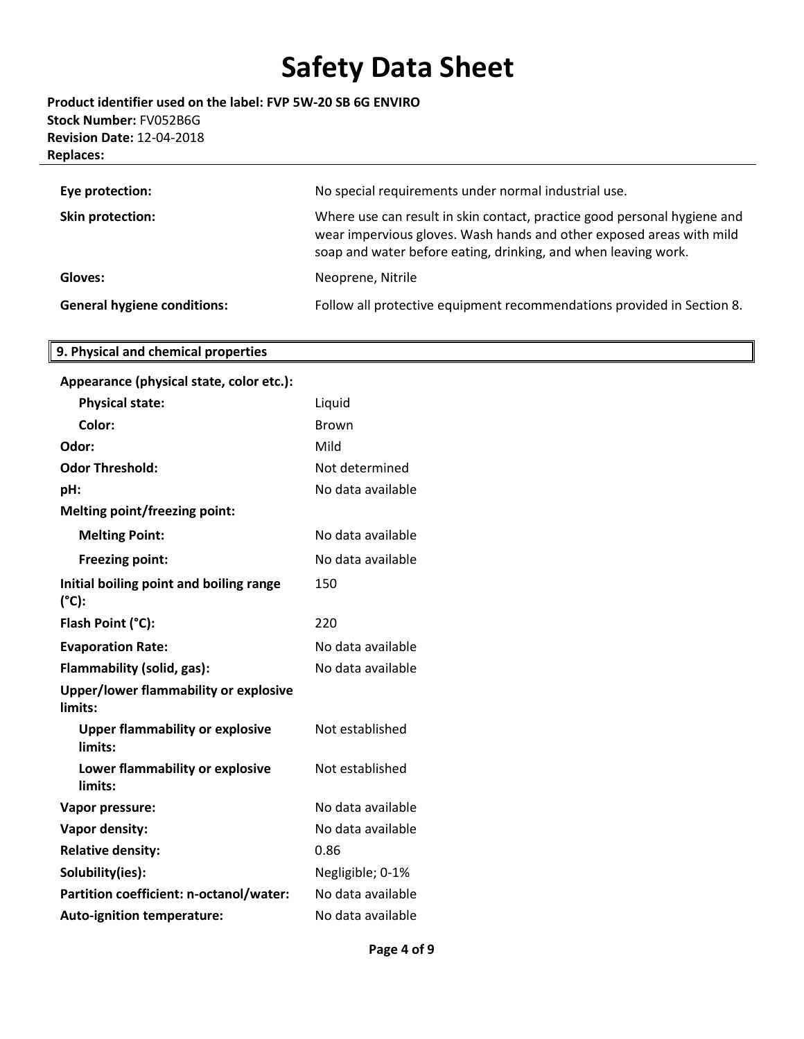**Product identifier used on the label: FVP 5W-20 SB 6G ENVIRO Stock Number:** FV052B6G **Revision Date:** 12-04-2018 **Replaces:** 

| Eye protection:                    | No special requirements under normal industrial use.                                                                                                                                                               |
|------------------------------------|--------------------------------------------------------------------------------------------------------------------------------------------------------------------------------------------------------------------|
| <b>Skin protection:</b>            | Where use can result in skin contact, practice good personal hygiene and<br>wear impervious gloves. Wash hands and other exposed areas with mild<br>soap and water before eating, drinking, and when leaving work. |
| Gloves:                            | Neoprene, Nitrile                                                                                                                                                                                                  |
| <b>General hygiene conditions:</b> | Follow all protective equipment recommendations provided in Section 8.                                                                                                                                             |

## **9. Physical and chemical properties**

| Appearance (physical state, color etc.):          |                   |
|---------------------------------------------------|-------------------|
| <b>Physical state:</b>                            | Liquid            |
| Color:                                            | <b>Brown</b>      |
| Odor:                                             | Mild              |
| <b>Odor Threshold:</b>                            | Not determined    |
| pH:                                               | No data available |
| <b>Melting point/freezing point:</b>              |                   |
| <b>Melting Point:</b>                             | No data available |
| <b>Freezing point:</b>                            | No data available |
| Initial boiling point and boiling range<br>(°C):  | 150               |
| Flash Point (°C):                                 | 220               |
| <b>Evaporation Rate:</b>                          | No data available |
| Flammability (solid, gas):                        | No data available |
| Upper/lower flammability or explosive<br>limits:  |                   |
| <b>Upper flammability or explosive</b><br>limits: | Not established   |
| Lower flammability or explosive<br>limits:        | Not established   |
| Vapor pressure:                                   | No data available |
| Vapor density:                                    | No data available |
| <b>Relative density:</b>                          | 0.86              |
| Solubility(ies):                                  | Negligible; 0-1%  |
| Partition coefficient: n-octanol/water:           | No data available |
| <b>Auto-ignition temperature:</b>                 | No data available |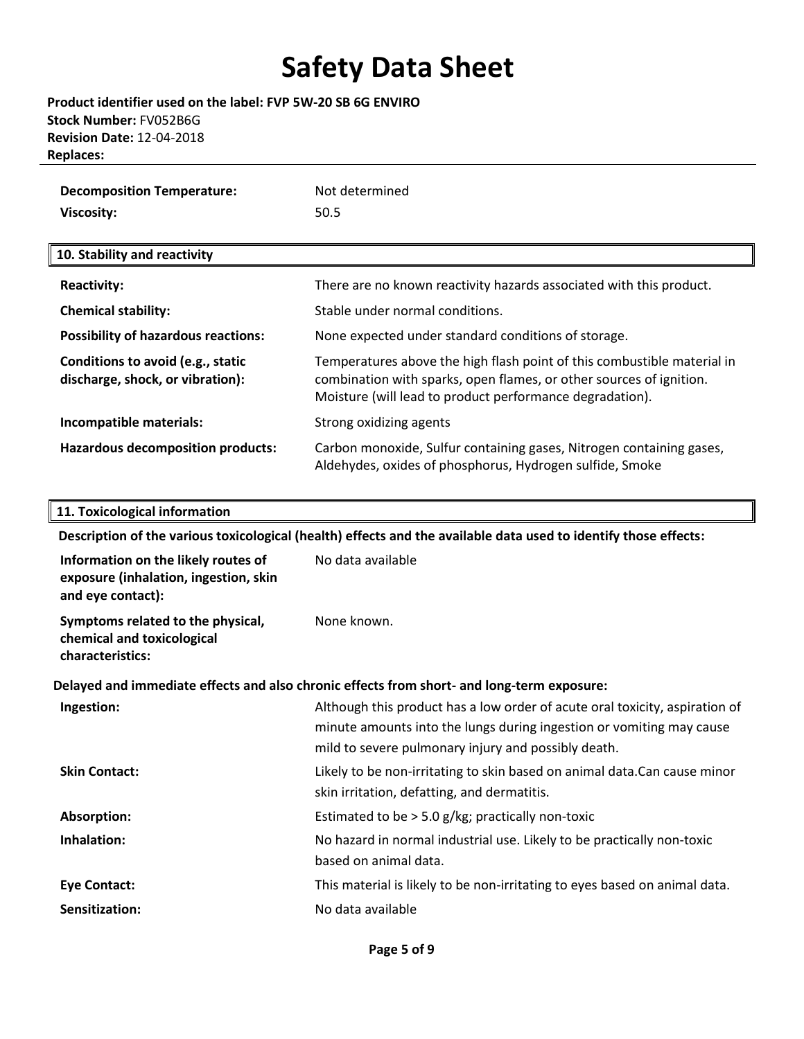**Product identifier used on the label: FVP 5W-20 SB 6G ENVIRO Stock Number:** FV052B6G **Revision Date:** 12-04-2018 **Replaces:** 

| <b>Decomposition Temperature:</b> | Not determined |
|-----------------------------------|----------------|
| Viscosity:                        | 50.5           |

#### **10. Stability and reactivity**

| <b>Reactivity:</b>                                                    | There are no known reactivity hazards associated with this product.                                                                                                                                        |
|-----------------------------------------------------------------------|------------------------------------------------------------------------------------------------------------------------------------------------------------------------------------------------------------|
| <b>Chemical stability:</b>                                            | Stable under normal conditions.                                                                                                                                                                            |
| <b>Possibility of hazardous reactions:</b>                            | None expected under standard conditions of storage.                                                                                                                                                        |
| Conditions to avoid (e.g., static<br>discharge, shock, or vibration): | Temperatures above the high flash point of this combustible material in<br>combination with sparks, open flames, or other sources of ignition.<br>Moisture (will lead to product performance degradation). |
| Incompatible materials:                                               | Strong oxidizing agents                                                                                                                                                                                    |
| <b>Hazardous decomposition products:</b>                              | Carbon monoxide, Sulfur containing gases, Nitrogen containing gases,<br>Aldehydes, oxides of phosphorus, Hydrogen sulfide, Smoke                                                                           |

#### **11. Toxicological information**

**Description of the various toxicological (health) effects and the available data used to identify those effects: Information on the likely routes of exposure (inhalation, ingestion, skin and eye contact):**  No data available **Symptoms related to the physical, chemical and toxicological characteristics:** None known. **Delayed and immediate effects and also chronic effects from short- and long-term exposure: Ingestion:** Although this product has a low order of acute oral toxicity, aspiration of minute amounts into the lungs during ingestion or vomiting may cause mild to severe pulmonary injury and possibly death. **Skin Contact:** Likely to be non-irritating to skin based on animal data.Can cause minor skin irritation, defatting, and dermatitis. **Absorption:** Estimated to be > 5.0 g/kg; practically non-toxic **Inhalation:** No hazard in normal industrial use. Likely to be practically non-toxic based on animal data. **Eye Contact:** This material is likely to be non-irritating to eyes based on animal data. **Sensitization:** No data available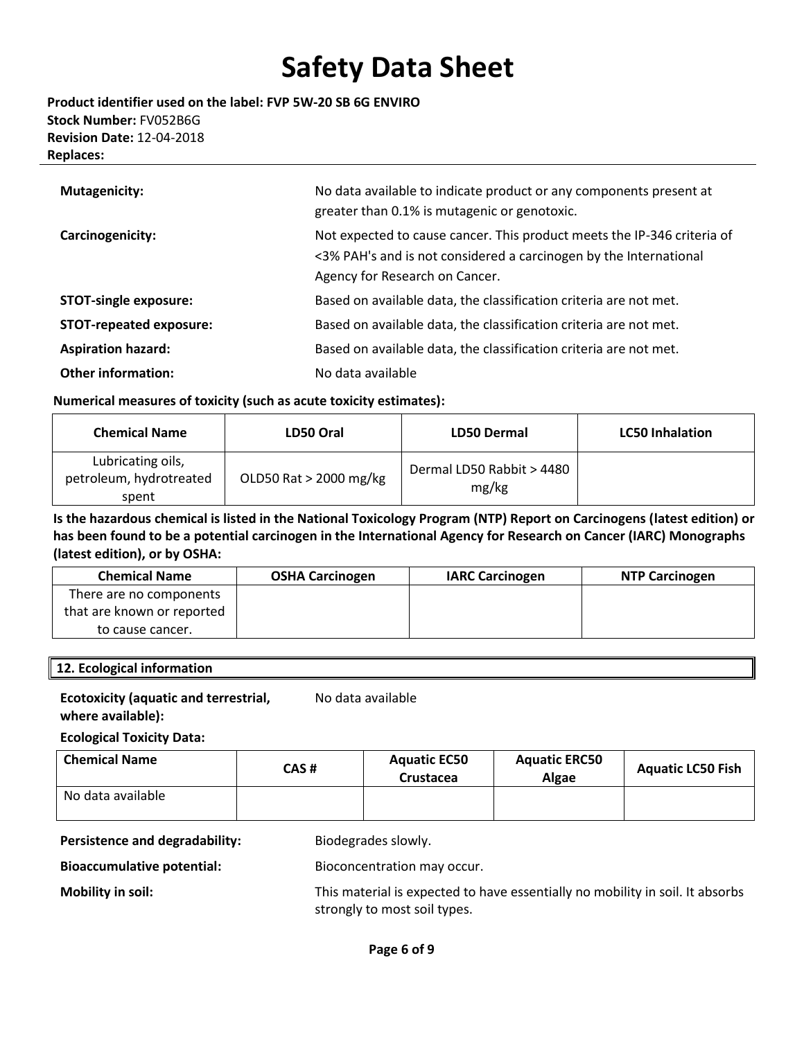### **Product identifier used on the label: FVP 5W-20 SB 6G ENVIRO Stock Number:** FV052B6G **Revision Date:** 12-04-2018 **Replaces:**

| <b>Mutagenicity:</b>           | No data available to indicate product or any components present at<br>greater than 0.1% is mutagenic or genotoxic.                                                             |
|--------------------------------|--------------------------------------------------------------------------------------------------------------------------------------------------------------------------------|
| Carcinogenicity:               | Not expected to cause cancer. This product meets the IP-346 criteria of<br><3% PAH's and is not considered a carcinogen by the International<br>Agency for Research on Cancer. |
| <b>STOT-single exposure:</b>   | Based on available data, the classification criteria are not met.                                                                                                              |
| <b>STOT-repeated exposure:</b> | Based on available data, the classification criteria are not met.                                                                                                              |
| <b>Aspiration hazard:</b>      | Based on available data, the classification criteria are not met.                                                                                                              |
| <b>Other information:</b>      | No data available                                                                                                                                                              |

### **Numerical measures of toxicity (such as acute toxicity estimates):**

| <b>Chemical Name</b>                                  | LD50 Oral              | <b>LD50 Dermal</b>                 | <b>LC50 Inhalation</b> |
|-------------------------------------------------------|------------------------|------------------------------------|------------------------|
| Lubricating oils,<br>petroleum, hydrotreated<br>spent | OLD50 Rat > 2000 mg/kg | Dermal LD50 Rabbit > 4480<br>mg/kg |                        |

**Is the hazardous chemical is listed in the National Toxicology Program (NTP) Report on Carcinogens (latest edition) or has been found to be a potential carcinogen in the International Agency for Research on Cancer (IARC) Monographs (latest edition), or by OSHA:**

| <b>Chemical Name</b>       | <b>OSHA Carcinogen</b> | <b>IARC Carcinogen</b> | <b>NTP Carcinogen</b> |
|----------------------------|------------------------|------------------------|-----------------------|
| There are no components    |                        |                        |                       |
| that are known or reported |                        |                        |                       |
| to cause cancer.           |                        |                        |                       |

### **12. Ecological information**

### **Ecotoxicity (aquatic and terrestrial, where available):**

No data available

**Ecological Toxicity Data:** 

| <b>Chemical Name</b> | CAS# | <b>Aquatic EC50</b><br>Crustacea | <b>Aquatic ERC50</b><br>Algae | <b>Aguatic LC50 Fish</b> |
|----------------------|------|----------------------------------|-------------------------------|--------------------------|
| No data available    |      |                                  |                               |                          |

Persistence and degradability: Biodegrades slowly.

**Bioaccumulative potential:** Bioconcentration may occur.

**Mobility in soil:** This material is expected to have essentially no mobility in soil. It absorbs strongly to most soil types.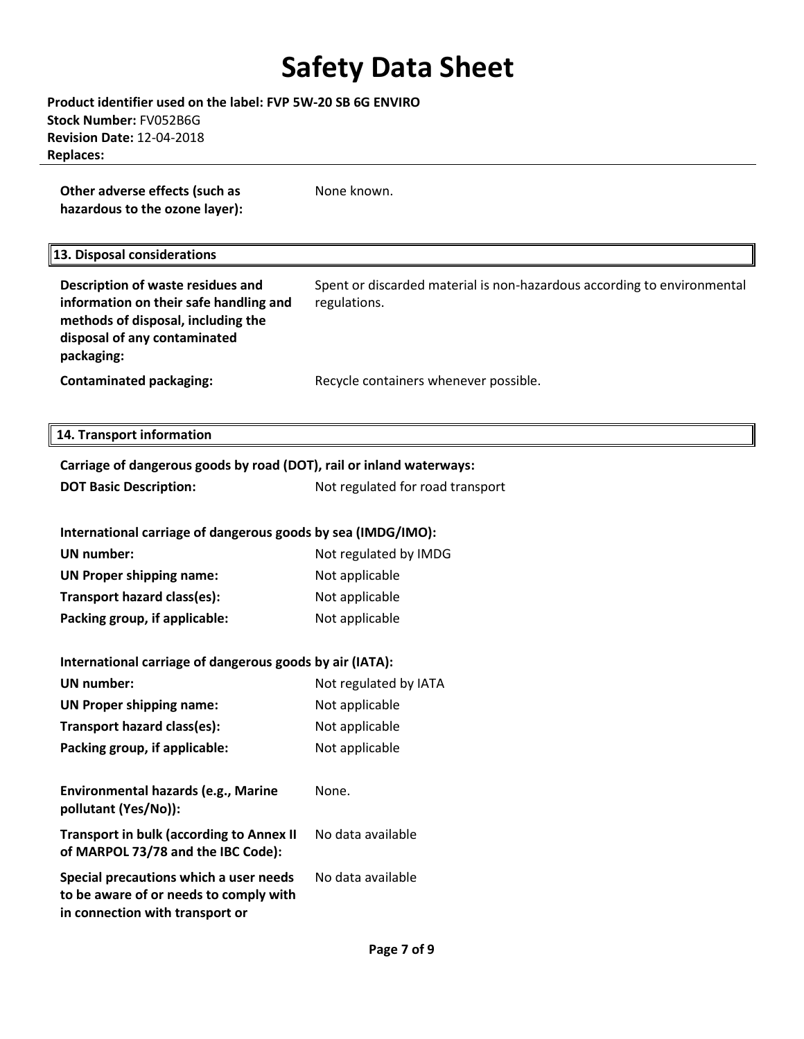**Product identifier used on the label: FVP 5W-20 SB 6G ENVIRO Stock Number:** FV052B6G **Revision Date:** 12-04-2018 **Replaces:** 

**Other adverse effects (such as hazardous to the ozone layer):** None known.

### **13. Disposal considerations**

| Description of waste residues and<br>information on their safe handling and<br>methods of disposal, including the<br>disposal of any contaminated<br>packaging: | Spent or discarded material is non-hazardous according to environmental<br>regulations. |
|-----------------------------------------------------------------------------------------------------------------------------------------------------------------|-----------------------------------------------------------------------------------------|
| <b>Contaminated packaging:</b>                                                                                                                                  | Recycle containers whenever possible.                                                   |

#### **14. Transport information**

| Carriage of dangerous goods by road (DOT), rail or inland waterways:                                                |                                  |  |  |  |
|---------------------------------------------------------------------------------------------------------------------|----------------------------------|--|--|--|
| <b>DOT Basic Description:</b>                                                                                       | Not regulated for road transport |  |  |  |
|                                                                                                                     |                                  |  |  |  |
| International carriage of dangerous goods by sea (IMDG/IMO):                                                        |                                  |  |  |  |
| <b>UN</b> number:                                                                                                   | Not regulated by IMDG            |  |  |  |
| <b>UN Proper shipping name:</b>                                                                                     | Not applicable                   |  |  |  |
| Transport hazard class(es):                                                                                         | Not applicable                   |  |  |  |
| Packing group, if applicable:                                                                                       | Not applicable                   |  |  |  |
|                                                                                                                     |                                  |  |  |  |
| International carriage of dangerous goods by air (IATA):                                                            |                                  |  |  |  |
| <b>UN number:</b>                                                                                                   | Not regulated by IATA            |  |  |  |
| <b>UN Proper shipping name:</b>                                                                                     | Not applicable                   |  |  |  |
| Transport hazard class(es):                                                                                         | Not applicable                   |  |  |  |
| Packing group, if applicable:                                                                                       | Not applicable                   |  |  |  |
|                                                                                                                     |                                  |  |  |  |
| Environmental hazards (e.g., Marine<br>pollutant (Yes/No)):                                                         | None.                            |  |  |  |
| <b>Transport in bulk (according to Annex II</b><br>of MARPOL 73/78 and the IBC Code):                               | No data available                |  |  |  |
| Special precautions which a user needs<br>to be aware of or needs to comply with<br>in connection with transport or | No data available                |  |  |  |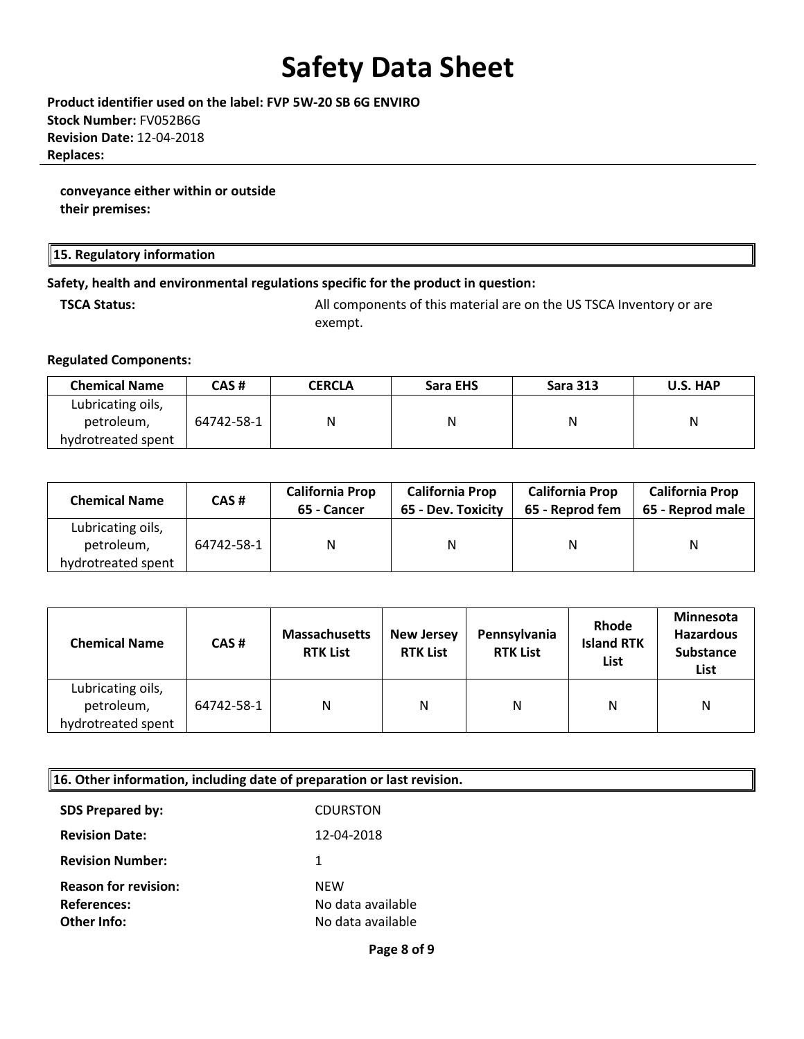**Product identifier used on the label: FVP 5W-20 SB 6G ENVIRO Stock Number:** FV052B6G **Revision Date:** 12-04-2018 **Replaces:** 

**conveyance either within or outside their premises:** 

#### **15. Regulatory information**

#### **Safety, health and environmental regulations specific for the product in question:**

**TSCA Status:** All components of this material are on the US TSCA Inventory or are exempt.

#### **Regulated Components:**

| <b>Chemical Name</b> | CAS #      | <b>CERCLA</b> | Sara EHS | <b>Sara 313</b> | U.S. HAP |
|----------------------|------------|---------------|----------|-----------------|----------|
| Lubricating oils,    |            |               |          |                 |          |
| petroleum,           | 64742-58-1 | Ν             |          |                 | Ν        |
| hydrotreated spent   |            |               |          |                 |          |

| <b>Chemical Name</b> | CAS#       | <b>California Prop</b><br>65 - Cancer | <b>California Prop</b><br>65 - Dev. Toxicity | <b>California Prop</b><br>65 - Reprod fem | <b>California Prop</b><br>65 - Reprod male |
|----------------------|------------|---------------------------------------|----------------------------------------------|-------------------------------------------|--------------------------------------------|
| Lubricating oils,    |            |                                       |                                              |                                           |                                            |
| petroleum,           | 64742-58-1 | N                                     | N                                            | N                                         | Ν                                          |
| hydrotreated spent   |            |                                       |                                              |                                           |                                            |

| <b>Chemical Name</b>                                  | CAS#       | <b>Massachusetts</b><br><b>RTK List</b> | <b>New Jersey</b><br><b>RTK List</b> | Pennsylvania<br><b>RTK List</b> | Rhode<br><b>Island RTK</b><br>List | <b>Minnesota</b><br><b>Hazardous</b><br><b>Substance</b><br>List |
|-------------------------------------------------------|------------|-----------------------------------------|--------------------------------------|---------------------------------|------------------------------------|------------------------------------------------------------------|
| Lubricating oils,<br>petroleum,<br>hydrotreated spent | 64742-58-1 | N                                       | N                                    | N                               | N                                  | N                                                                |

| 16. Other information, including date of preparation or last revision. |                   |  |
|------------------------------------------------------------------------|-------------------|--|
| <b>SDS Prepared by:</b>                                                | <b>CDURSTON</b>   |  |
| <b>Revision Date:</b>                                                  | 12-04-2018        |  |
| <b>Revision Number:</b>                                                | 1                 |  |
| <b>Reason for revision:</b>                                            | <b>NEW</b>        |  |
| <b>References:</b>                                                     | No data available |  |
| Other Info:                                                            | No data available |  |
|                                                                        | Page 8 of 9       |  |